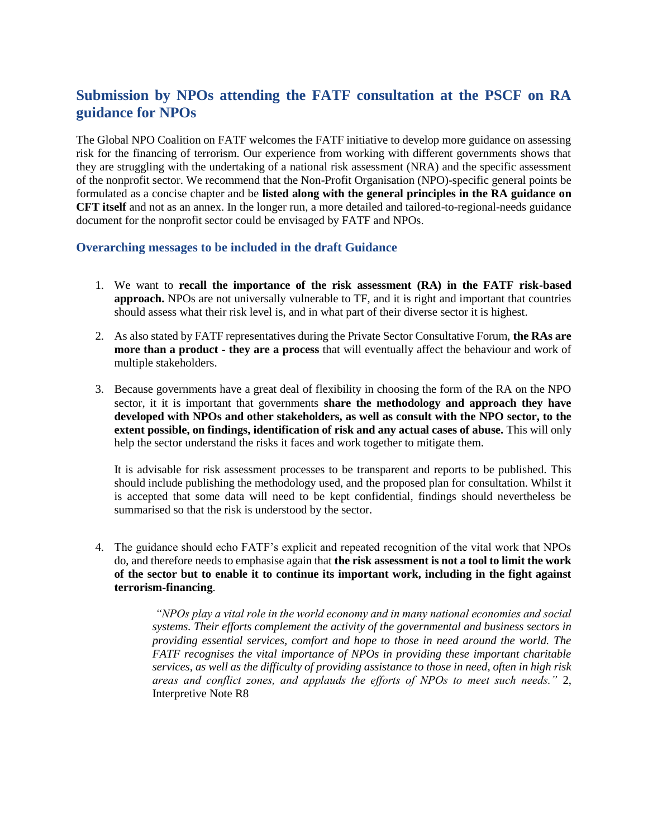# **Submission by NPOs attending the FATF consultation at the PSCF on RA guidance for NPOs**

The Global NPO Coalition on FATF welcomes the FATF initiative to develop more guidance on assessing risk for the financing of terrorism. Our experience from working with different governments shows that they are struggling with the undertaking of a national risk assessment (NRA) and the specific assessment of the nonprofit sector. We recommend that the Non-Profit Organisation (NPO)-specific general points be formulated as a concise chapter and be **listed along with the general principles in the RA guidance on CFT itself** and not as an annex. In the longer run, a more detailed and tailored-to-regional-needs guidance document for the nonprofit sector could be envisaged by FATF and NPOs.

#### **Overarching messages to be included in the draft Guidance**

- 1. We want to **recall the importance of the risk assessment (RA) in the FATF risk-based approach.** NPOs are not universally vulnerable to TF, and it is right and important that countries should assess what their risk level is, and in what part of their diverse sector it is highest.
- 2. As also stated by FATF representatives during the Private Sector Consultative Forum, **the RAs are more than a product - they are a process** that will eventually affect the behaviour and work of multiple stakeholders.
- 3. Because governments have a great deal of flexibility in choosing the form of the RA on the NPO sector, it it is important that governments **share the methodology and approach they have developed with NPOs and other stakeholders, as well as consult with the NPO sector, to the extent possible, on findings, identification of risk and any actual cases of abuse.** This will only help the sector understand the risks it faces and work together to mitigate them.

It is advisable for risk assessment processes to be transparent and reports to be published. This should include publishing the methodology used, and the proposed plan for consultation. Whilst it is accepted that some data will need to be kept confidential, findings should nevertheless be summarised so that the risk is understood by the sector.

4. The guidance should echo FATF's explicit and repeated recognition of the vital work that NPOs do, and therefore needs to emphasise again that **the risk assessment is not a tool to limit the work of the sector but to enable it to continue its important work, including in the fight against terrorism-financing**.

> *"NPOs play a vital role in the world economy and in many national economies and social systems. Their efforts complement the activity of the governmental and business sectors in providing essential services, comfort and hope to those in need around the world. The FATF recognises the vital importance of NPOs in providing these important charitable services, as well as the difficulty of providing assistance to those in need, often in high risk areas and conflict zones, and applauds the efforts of NPOs to meet such needs."* 2, Interpretive Note R8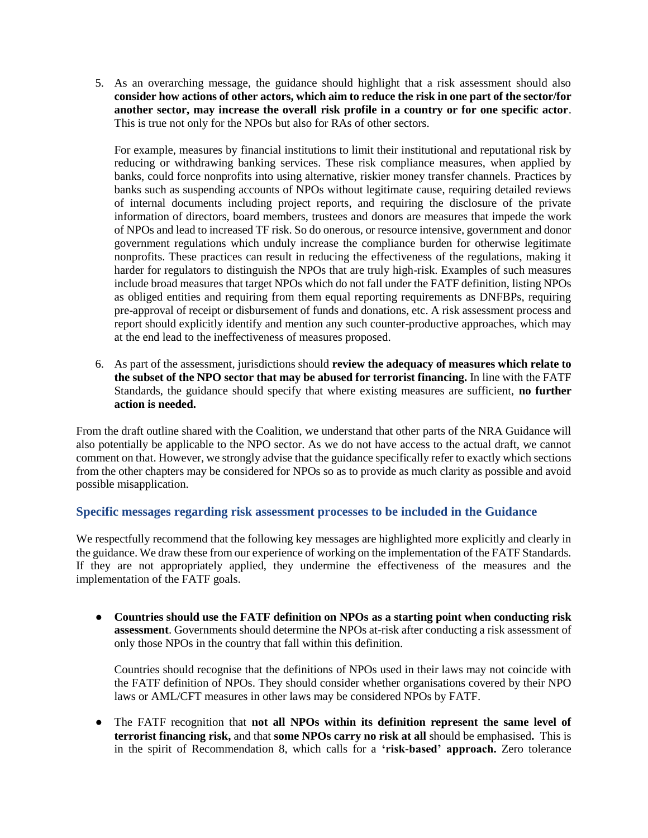5. As an overarching message, the guidance should highlight that a risk assessment should also **consider how actions of other actors, which aim to reduce the risk in one part of the sector/for another sector, may increase the overall risk profile in a country or for one specific actor**. This is true not only for the NPOs but also for RAs of other sectors.

For example, measures by financial institutions to limit their institutional and reputational risk by reducing or withdrawing banking services. These risk compliance measures, when applied by banks, could force nonprofits into using alternative, riskier money transfer channels. Practices by banks such as suspending accounts of NPOs without legitimate cause, requiring detailed reviews of internal documents including project reports, and requiring the disclosure of the private information of directors, board members, trustees and donors are measures that impede the work of NPOs and lead to increased TF risk. So do onerous, or resource intensive, government and donor government regulations which unduly increase the compliance burden for otherwise legitimate nonprofits. These practices can result in reducing the effectiveness of the regulations, making it harder for regulators to distinguish the NPOs that are truly high-risk. Examples of such measures include broad measures that target NPOs which do not fall under the FATF definition, listing NPOs as obliged entities and requiring from them equal reporting requirements as DNFBPs, requiring pre-approval of receipt or disbursement of funds and donations, etc. A risk assessment process and report should explicitly identify and mention any such counter-productive approaches, which may at the end lead to the ineffectiveness of measures proposed.

6. As part of the assessment, jurisdictions should **review the adequacy of measures which relate to the subset of the NPO sector that may be abused for terrorist financing.** In line with the FATF Standards, the guidance should specify that where existing measures are sufficient, **no further action is needed.**

From the draft outline shared with the Coalition, we understand that other parts of the NRA Guidance will also potentially be applicable to the NPO sector. As we do not have access to the actual draft, we cannot comment on that. However, we strongly advise that the guidance specifically refer to exactly which sections from the other chapters may be considered for NPOs so as to provide as much clarity as possible and avoid possible misapplication.

# **Specific messages regarding risk assessment processes to be included in the Guidance**

We respectfully recommend that the following key messages are highlighted more explicitly and clearly in the guidance. We draw these from our experience of working on the implementation of the FATF Standards. If they are not appropriately applied, they undermine the effectiveness of the measures and the implementation of the FATF goals.

● **Countries should use the FATF definition on NPOs as a starting point when conducting risk assessment**. Governments should determine the NPOs at-risk after conducting a risk assessment of only those NPOs in the country that fall within this definition.

Countries should recognise that the definitions of NPOs used in their laws may not coincide with the FATF definition of NPOs. They should consider whether organisations covered by their NPO laws or AML/CFT measures in other laws may be considered NPOs by FATF.

● The FATF recognition that **not all NPOs within its definition represent the same level of terrorist financing risk,** and that **some NPOs carry no risk at all** should be emphasised**.** This is in the spirit of Recommendation 8, which calls for a **'risk-based' approach.** Zero tolerance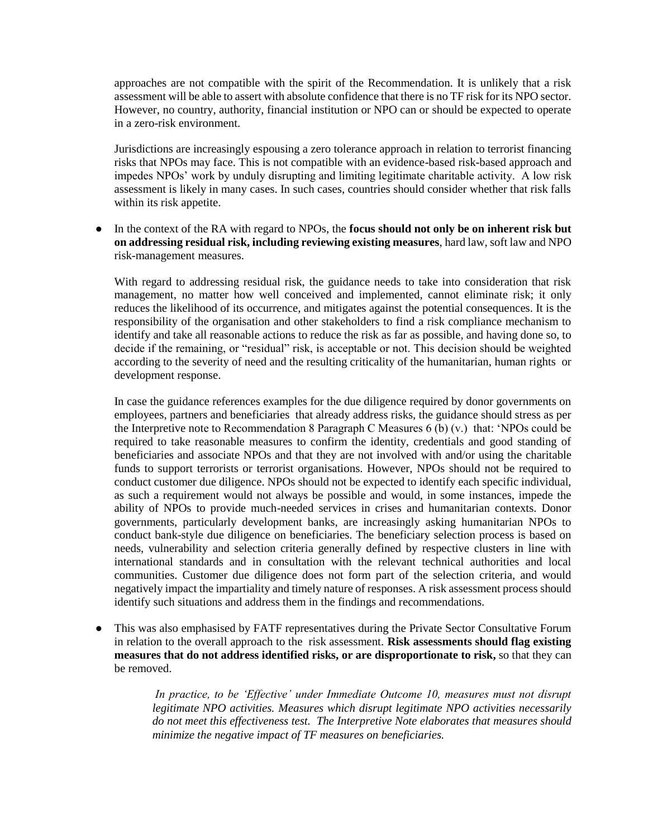approaches are not compatible with the spirit of the Recommendation. It is unlikely that a risk assessment will be able to assert with absolute confidence that there is no TF risk for its NPO sector. However, no country, authority, financial institution or NPO can or should be expected to operate in a zero-risk environment.

Jurisdictions are increasingly espousing a zero tolerance approach in relation to terrorist financing risks that NPOs may face. This is not compatible with an evidence-based risk-based approach and impedes NPOs' work by unduly disrupting and limiting legitimate charitable activity. A low risk assessment is likely in many cases. In such cases, countries should consider whether that risk falls within its risk appetite.

● In the context of the RA with regard to NPOs, the **focus should not only be on inherent risk but on addressing residual risk, including reviewing existing measures**, hard law, soft law and NPO risk-management measures.

With regard to addressing residual risk, the guidance needs to take into consideration that risk management, no matter how well conceived and implemented, cannot eliminate risk; it only reduces the likelihood of its occurrence, and mitigates against the potential consequences. It is the responsibility of the organisation and other stakeholders to find a risk compliance mechanism to identify and take all reasonable actions to reduce the risk as far as possible, and having done so, to decide if the remaining, or "residual" risk, is acceptable or not. This decision should be weighted according to the severity of need and the resulting criticality of the humanitarian, human rights or development response.

In case the guidance references examples for the due diligence required by donor governments on employees, partners and beneficiaries that already address risks, the guidance should stress as per the Interpretive note to Recommendation 8 Paragraph C Measures 6 (b) (v.) that: 'NPOs could be required to take reasonable measures to confirm the identity, credentials and good standing of beneficiaries and associate NPOs and that they are not involved with and/or using the charitable funds to support terrorists or terrorist organisations. However, NPOs should not be required to conduct customer due diligence. NPOs should not be expected to identify each specific individual, as such a requirement would not always be possible and would, in some instances, impede the ability of NPOs to provide much-needed services in crises and humanitarian contexts. Donor governments, particularly development banks, are increasingly asking humanitarian NPOs to conduct bank-style due diligence on beneficiaries. The beneficiary selection process is based on needs, vulnerability and selection criteria generally defined by respective clusters in line with international standards and in consultation with the relevant technical authorities and local communities. Customer due diligence does not form part of the selection criteria, and would negatively impact the impartiality and timely nature of responses. A risk assessment process should identify such situations and address them in the findings and recommendations.

This was also emphasised by FATF representatives during the Private Sector Consultative Forum in relation to the overall approach to the risk assessment. **Risk assessments should flag existing measures that do not address identified risks, or are disproportionate to risk,** so that they can be removed.

> *In practice, to be 'Effective' under Immediate Outcome 10, measures must not disrupt legitimate NPO activities. Measures which disrupt legitimate NPO activities necessarily do not meet this effectiveness test. The Interpretive Note elaborates that measures should minimize the negative impact of TF measures on beneficiaries.*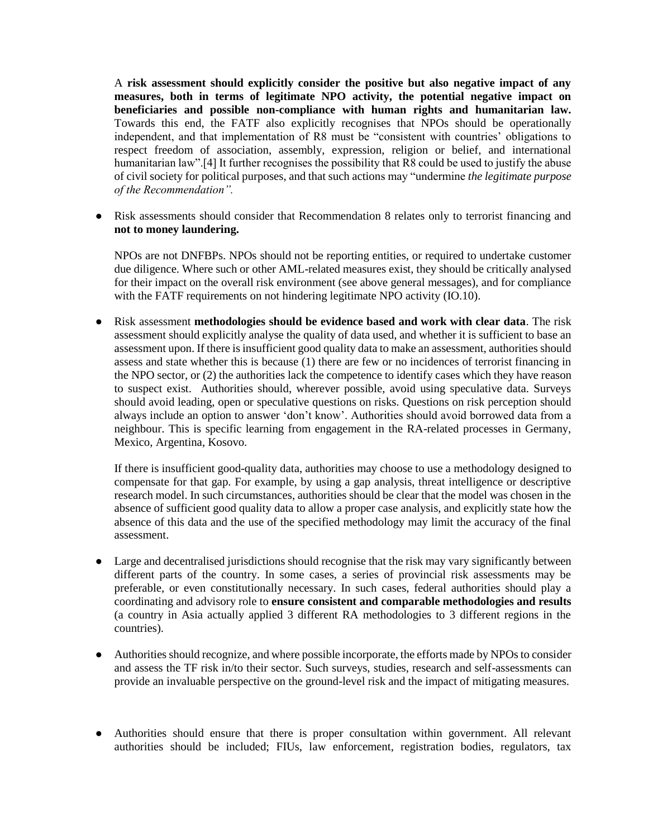A **risk assessment should explicitly consider the positive but also negative impact of any measures, both in terms of legitimate NPO activity, the potential negative impact on beneficiaries and possible non-compliance with human rights and humanitarian law.** Towards this end, the FATF also explicitly recognises that NPOs should be operationally independent, and that implementation of R8 must be "consistent with countries' obligations to respect freedom of association, assembly, expression, religion or belief, and international humanitarian law".<sup>[4]</sup> It further recognises the possibility that R8 could be used to justify the abuse of civil society for political purposes, and that such actions may "undermine *the legitimate purpose of the Recommendation".*

Risk assessments should consider that Recommendation 8 relates only to terrorist financing and **not to money laundering.**

NPOs are not DNFBPs. NPOs should not be reporting entities, or required to undertake customer due diligence. Where such or other AML-related measures exist, they should be critically analysed for their impact on the overall risk environment (see above general messages), and for compliance with the FATF requirements on not hindering legitimate NPO activity (IO.10).

● Risk assessment **methodologies should be evidence based and work with clear data**. The risk assessment should explicitly analyse the quality of data used, and whether it is sufficient to base an assessment upon. If there is insufficient good quality data to make an assessment, authorities should assess and state whether this is because (1) there are few or no incidences of terrorist financing in the NPO sector, or (2) the authorities lack the competence to identify cases which they have reason to suspect exist. Authorities should, wherever possible, avoid using speculative data. Surveys should avoid leading, open or speculative questions on risks. Questions on risk perception should always include an option to answer 'don't know'. Authorities should avoid borrowed data from a neighbour. This is specific learning from engagement in the RA-related processes in Germany, Mexico, Argentina, Kosovo.

If there is insufficient good-quality data, authorities may choose to use a methodology designed to compensate for that gap. For example, by using a gap analysis, threat intelligence or descriptive research model. In such circumstances, authorities should be clear that the model was chosen in the absence of sufficient good quality data to allow a proper case analysis, and explicitly state how the absence of this data and the use of the specified methodology may limit the accuracy of the final assessment.

- Large and decentralised jurisdictions should recognise that the risk may vary significantly between different parts of the country. In some cases, a series of provincial risk assessments may be preferable, or even constitutionally necessary. In such cases, federal authorities should play a coordinating and advisory role to **ensure consistent and comparable methodologies and results** (a country in Asia actually applied 3 different RA methodologies to 3 different regions in the countries).
- Authorities should recognize, and where possible incorporate, the efforts made by NPOs to consider and assess the TF risk in/to their sector. Such surveys, studies, research and self-assessments can provide an invaluable perspective on the ground-level risk and the impact of mitigating measures.
- Authorities should ensure that there is proper consultation within government. All relevant authorities should be included; FIUs, law enforcement, registration bodies, regulators, tax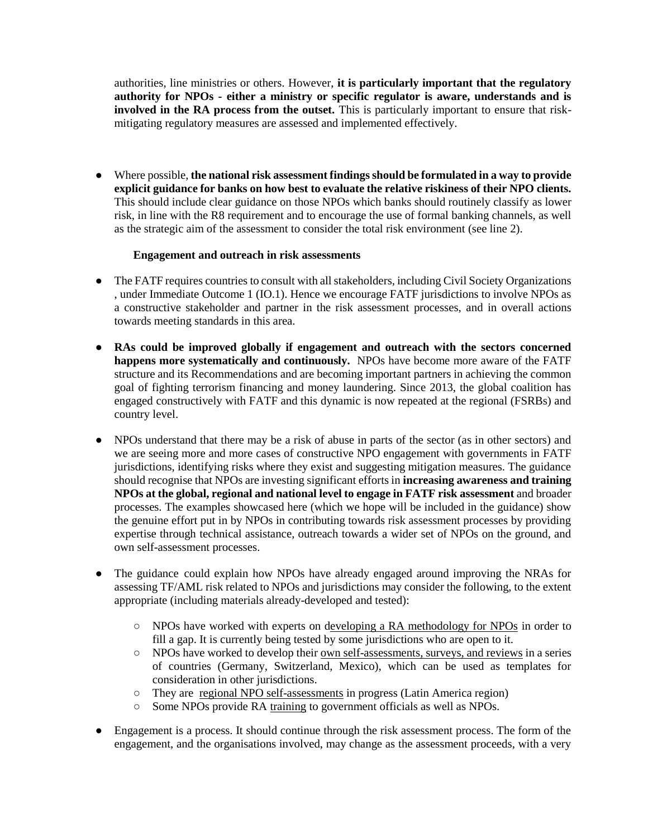authorities, line ministries or others. However, **it is particularly important that the regulatory authority for NPOs - either a ministry or specific regulator is aware, understands and is involved in the RA process from the outset.** This is particularly important to ensure that riskmitigating regulatory measures are assessed and implemented effectively.

● Where possible, **the national risk assessment findings should be formulated in a way to provide explicit guidance for banks on how best to evaluate the relative riskiness of their NPO clients.** This should include clear guidance on those NPOs which banks should routinely classify as lower risk, in line with the R8 requirement and to encourage the use of formal banking channels, as well as the strategic aim of the assessment to consider the total risk environment (see line 2).

#### **Engagement and outreach in risk assessments**

- The FATF requires countries to consult with all stakeholders, including Civil Society Organizations , under Immediate Outcome 1 (IO.1). Hence we encourage FATF jurisdictions to involve NPOs as a constructive stakeholder and partner in the risk assessment processes, and in overall actions towards meeting standards in this area.
- **RAs could be improved globally if engagement and outreach with the sectors concerned happens more systematically and continuously.** NPOs have become more aware of the FATF structure and its Recommendations and are becoming important partners in achieving the common goal of fighting terrorism financing and money laundering. Since 2013, the global coalition has engaged constructively with FATF and this dynamic is now repeated at the regional (FSRBs) and country level.
- NPOs understand that there may be a risk of abuse in parts of the sector (as in other sectors) and we are seeing more and more cases of constructive NPO engagement with governments in FATF jurisdictions, identifying risks where they exist and suggesting mitigation measures. The guidance should recognise that NPOs are investing significant efforts in **increasing awareness and training NPOs at the global, regional and national level to engage in FATF risk assessment** and broader processes. The examples showcased here (which we hope will be included in the guidance) show the genuine effort put in by NPOs in contributing towards risk assessment processes by providing expertise through technical assistance, outreach towards a wider set of NPOs on the ground, and own self-assessment processes.
- The guidance could explain how NPOs have already engaged around improving the NRAs for assessing TF/AML risk related to NPOs and jurisdictions may consider the following, to the extent appropriate (including materials already-developed and tested):
	- NPOs have worked with experts on developing a RA methodology for NPOs in order to fill a gap. It is currently being tested by some jurisdictions who are open to it.
	- NPOs have worked to develop their own self-assessments, surveys, and reviews in a series of countries (Germany, Switzerland, Mexico), which can be used as templates for consideration in other jurisdictions.
	- They are regional NPO self-assessments in progress (Latin America region)
	- Some NPOs provide RA training to government officials as well as NPOs.
- Engagement is a process. It should continue through the risk assessment process. The form of the engagement, and the organisations involved, may change as the assessment proceeds, with a very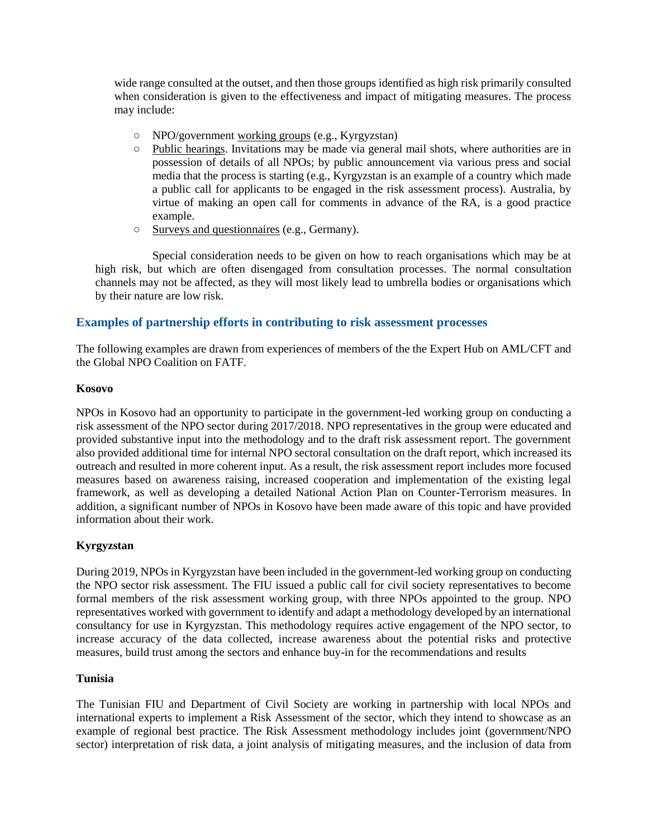wide range consulted at the outset, and then those groups identified as high risk primarily consulted when consideration is given to the effectiveness and impact of mitigating measures. The process may include:

- NPO/government working groups (e.g., Kyrgyzstan)
- Public hearings. Invitations may be made via general mail shots, where authorities are in possession of details of all NPOs; by public announcement via various press and social media that the process is starting (e.g., Kyrgyzstan is an example of a country which made a public call for applicants to be engaged in the risk assessment process). Australia, by virtue of making an open call for comments in advance of the RA, is a good practice example.
- Surveys and questionnaires (e.g., Germany).

Special consideration needs to be given on how to reach organisations which may be at high risk, but which are often disengaged from consultation processes. The normal consultation channels may not be affected, as they will most likely lead to umbrella bodies or organisations which by their nature are low risk.

# **Examples of partnership efforts in contributing to risk assessment processes**

The following examples are drawn from experiences of members of the the Expert Hub on AML/CFT and the Global NPO Coalition on FATF.

#### **Kosovo**

NPOs in Kosovo had an opportunity to participate in the government-led working group on conducting a risk assessment of the NPO sector during 2017/2018. NPO representatives in the group were educated and provided substantive input into the methodology and to the draft risk assessment report. The government also provided additional time for internal NPO sectoral consultation on the draft report, which increased its outreach and resulted in more coherent input. As a result, the risk assessment report includes more focused measures based on awareness raising, increased cooperation and implementation of the existing legal framework, as well as developing a detailed National Action Plan on Counter-Terrorism measures. In addition, a significant number of NPOs in Kosovo have been made aware of this topic and have provided information about their work.

# **Kyrgyzstan**

During 2019, NPOs in Kyrgyzstan have been included in the government-led working group on conducting the NPO sector risk assessment. The FIU issued a public call for civil society representatives to become formal members of the risk assessment working group, with three NPOs appointed to the group. NPO representatives worked with government to identify and adapt a methodology developed by an international consultancy for use in Kyrgyzstan. This methodology requires active engagement of the NPO sector, to increase accuracy of the data collected, increase awareness about the potential risks and protective measures, build trust among the sectors and enhance buy-in for the recommendations and results

#### **Tunisia**

The Tunisian FIU and Department of Civil Society are working in partnership with local NPOs and international experts to implement a Risk Assessment of the sector, which they intend to showcase as an example of regional best practice. The Risk Assessment methodology includes joint (government/NPO sector) interpretation of risk data, a joint analysis of mitigating measures, and the inclusion of data from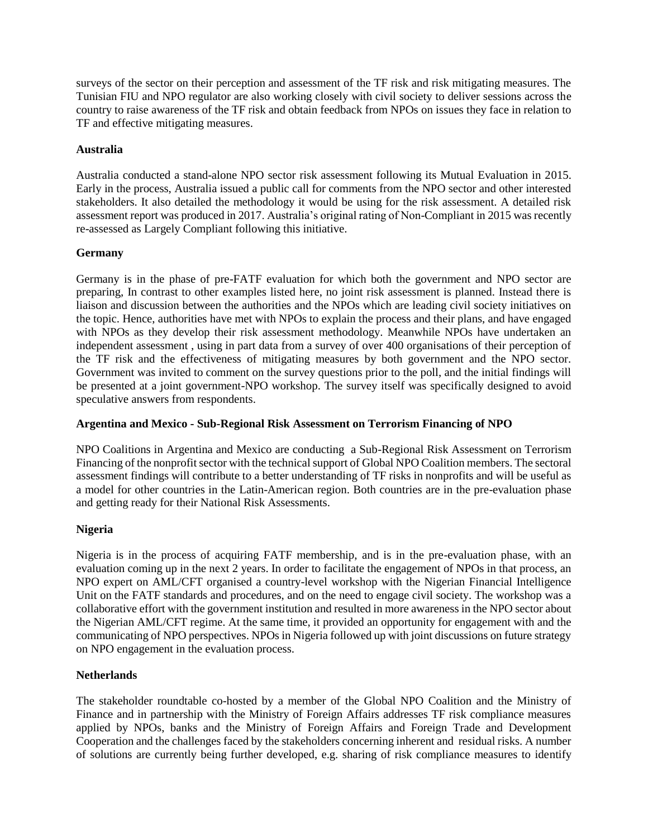surveys of the sector on their perception and assessment of the TF risk and risk mitigating measures. The Tunisian FIU and NPO regulator are also working closely with civil society to deliver sessions across the country to raise awareness of the TF risk and obtain feedback from NPOs on issues they face in relation to TF and effective mitigating measures.

## **Australia**

Australia conducted a stand-alone NPO sector risk assessment following its Mutual Evaluation in 2015. Early in the process, Australia issued a public call for comments from the NPO sector and other interested stakeholders. It also detailed the methodology it would be using for the risk assessment. A detailed risk assessment report was produced in 2017. Australia's original rating of Non-Compliant in 2015 was recently re-assessed as Largely Compliant following this initiative.

## **Germany**

Germany is in the phase of pre-FATF evaluation for which both the government and NPO sector are preparing, In contrast to other examples listed here, no joint risk assessment is planned. Instead there is liaison and discussion between the authorities and the NPOs which are leading civil society initiatives on the topic. Hence, authorities have met with NPOs to explain the process and their plans, and have engaged with NPOs as they develop their risk assessment methodology. Meanwhile NPOs have undertaken an independent assessment , using in part data from a survey of over 400 organisations of their perception of the TF risk and the effectiveness of mitigating measures by both government and the NPO sector. Government was invited to comment on the survey questions prior to the poll, and the initial findings will be presented at a joint government-NPO workshop. The survey itself was specifically designed to avoid speculative answers from respondents.

## **Argentina and Mexico - Sub-Regional Risk Assessment on Terrorism Financing of NPO**

NPO Coalitions in Argentina and Mexico are conducting a Sub-Regional Risk Assessment on Terrorism Financing of the nonprofit sector with the technical support of Global NPO Coalition members. The sectoral assessment findings will contribute to a better understanding of TF risks in nonprofits and will be useful as a model for other countries in the Latin-American region. Both countries are in the pre-evaluation phase and getting ready for their National Risk Assessments.

# **Nigeria**

Nigeria is in the process of acquiring FATF membership, and is in the pre-evaluation phase, with an evaluation coming up in the next 2 years. In order to facilitate the engagement of NPOs in that process, an NPO expert on AML/CFT organised a country-level workshop with the Nigerian Financial Intelligence Unit on the FATF standards and procedures, and on the need to engage civil society. The workshop was a collaborative effort with the government institution and resulted in more awareness in the NPO sector about the Nigerian AML/CFT regime. At the same time, it provided an opportunity for engagement with and the communicating of NPO perspectives. NPOs in Nigeria followed up with joint discussions on future strategy on NPO engagement in the evaluation process.

# **Netherlands**

The stakeholder roundtable co-hosted by a member of the Global NPO Coalition and the Ministry of Finance and in partnership with the Ministry of Foreign Affairs addresses TF risk compliance measures applied by NPOs, banks and the Ministry of Foreign Affairs and Foreign Trade and Development Cooperation and the challenges faced by the stakeholders concerning inherent and residual risks. A number of solutions are currently being further developed, e.g. sharing of risk compliance measures to identify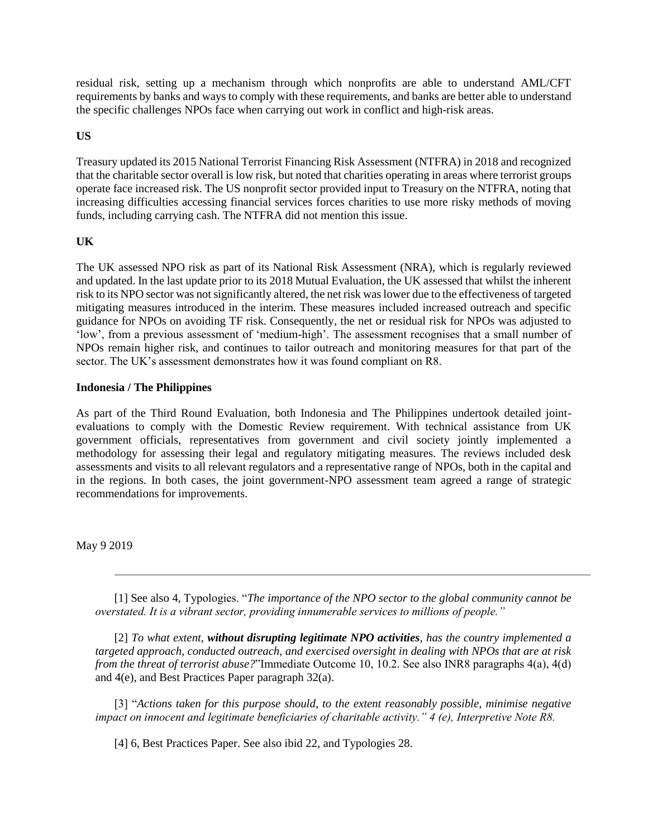residual risk, setting up a mechanism through which nonprofits are able to understand AML/CFT requirements by banks and ways to comply with these requirements, and banks are better able to understand the specific challenges NPOs face when carrying out work in conflict and high-risk areas.

## **US**

Treasury updated its 2015 National Terrorist Financing Risk Assessment (NTFRA) in 2018 and recognized that the charitable sector overall is low risk, but noted that charities operating in areas where terrorist groups operate face increased risk. The US nonprofit sector provided input to Treasury on the NTFRA, noting that increasing difficulties accessing financial services forces charities to use more risky methods of moving funds, including carrying cash. The NTFRA did not mention this issue.

## **UK**

The UK assessed NPO risk as part of its National Risk Assessment (NRA), which is regularly reviewed and updated. In the last update prior to its 2018 Mutual Evaluation, the UK assessed that whilst the inherent risk to its NPO sector was not significantly altered, the net risk was lower due to the effectiveness of targeted mitigating measures introduced in the interim. These measures included increased outreach and specific guidance for NPOs on avoiding TF risk. Consequently, the net or residual risk for NPOs was adjusted to 'low', from a previous assessment of 'medium-high'. The assessment recognises that a small number of NPOs remain higher risk, and continues to tailor outreach and monitoring measures for that part of the sector. The UK's assessment demonstrates how it was found compliant on R8.

#### **Indonesia / The Philippines**

As part of the Third Round Evaluation, both Indonesia and The Philippines undertook detailed jointevaluations to comply with the Domestic Review requirement. With technical assistance from UK government officials, representatives from government and civil society jointly implemented a methodology for assessing their legal and regulatory mitigating measures. The reviews included desk assessments and visits to all relevant regulators and a representative range of NPOs, both in the capital and in the regions. In both cases, the joint government-NPO assessment team agreed a range of strategic recommendations for improvements.

May 9 2019

[1] See also 4, Typologies. "*The importance of the NPO sector to the global community cannot be overstated. It is a vibrant sector, providing innumerable services to millions of people."*

[2] *To what extent, without disrupting legitimate NPO activities, has the country implemented a targeted approach, conducted outreach, and exercised oversight in dealing with NPOs that are at risk from the threat of terrorist abuse?*"Immediate Outcome 10, 10.2. See also INR8 paragraphs 4(a), 4(d) and 4(e), and Best Practices Paper paragraph 32(a).

[3] "*Actions taken for this purpose should, to the extent reasonably possible, minimise negative impact on innocent and legitimate beneficiaries of charitable activity." 4 (e), Interpretive Note R8.*

[4] 6, Best Practices Paper. See also ibid 22, and Typologies 28.